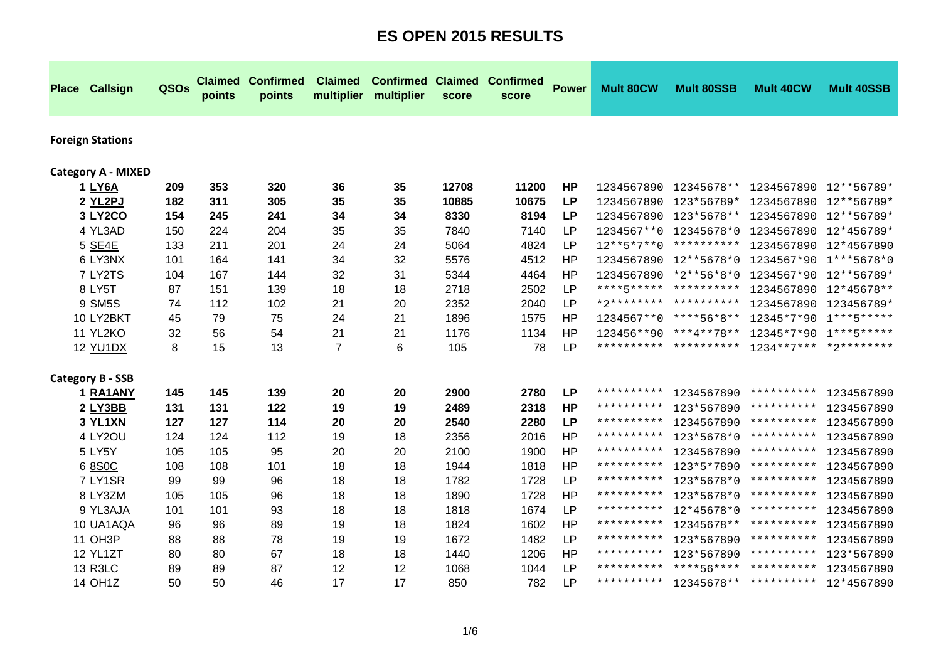| <b>Place Callsign</b>     | QSOs | <b>Claimed</b><br>points | <b>Confirmed</b><br>points | <b>Claimed</b><br>multiplier | <b>Confirmed Claimed</b><br>multiplier | score | <b>Confirmed</b><br>score | <b>Power</b> | <b>Mult 80CW</b> | <b>Mult 80SSB</b>                | <b>Mult 40CW</b>        | <b>Mult 40SSB</b> |
|---------------------------|------|--------------------------|----------------------------|------------------------------|----------------------------------------|-------|---------------------------|--------------|------------------|----------------------------------|-------------------------|-------------------|
| <b>Foreign Stations</b>   |      |                          |                            |                              |                                        |       |                           |              |                  |                                  |                         |                   |
| <b>Category A - MIXED</b> |      |                          |                            |                              |                                        |       |                           |              |                  |                                  |                         |                   |
| 1 LY6A                    | 209  | 353                      | 320                        | 36                           | 35                                     | 12708 | 11200                     | <b>HP</b>    |                  | 1234567890 12345678**            | 1234567890 12**56789*   |                   |
| 2 YL2PJ                   | 182  | 311                      | 305                        | 35                           | 35                                     | 10885 | 10675                     | <b>LP</b>    |                  | 1234567890 123*56789*            | 1234567890              | 12**56789*        |
| <b>3 LY2CO</b>            | 154  | 245                      | 241                        | 34                           | 34                                     | 8330  | 8194                      | <b>LP</b>    |                  | 1234567890 123*5678**            | 1234567890              | 12**56789*        |
| 4 YL3AD                   | 150  | 224                      | 204                        | 35                           | 35                                     | 7840  | 7140                      | <b>LP</b>    |                  | 1234567**0 12345678*0            | 1234567890              | 12*456789*        |
| 5 SE4E                    | 133  | 211                      | 201                        | 24                           | 24                                     | 5064  | 4824                      | <b>LP</b>    | $12***5*7**0$    | **********                       | 1234567890              | 12*4567890        |
| 6 LY3NX                   | 101  | 164                      | 141                        | 34                           | 32                                     | 5576  | 4512                      | HP           |                  | 1234567890 12**5678*0            | 1234567*90              | $1***5678*0$      |
| 7 LY2TS                   | 104  | 167                      | 144                        | 32                           | 31                                     | 5344  | 4464                      | <b>HP</b>    |                  | 1234567890 *2**56*8*0            | 1234567*90              | 12**56789*        |
| 8 LY5T                    | 87   | 151                      | 139                        | 18                           | 18                                     | 2718  | 2502                      | LP           |                  | ****5***** **********            | 1234567890              | 12*45678**        |
| 9 SM5S                    | 74   | 112                      | 102                        | 21                           | 20                                     | 2352  | 2040                      | <b>LP</b>    |                  | *2******** **********            | 1234567890              | 123456789*        |
| 10 LY2BKT                 | 45   | 79                       | 75                         | 24                           | 21                                     | 1896  | 1575                      | <b>HP</b>    |                  | 1234567**0 ****56*8**            | 12345*7*90              | $1***5*****$      |
| 11 YL2KO                  | 32   | 56                       | 54                         | 21                           | 21                                     | 1176  | 1134                      | <b>HP</b>    |                  | $123456**90$ *** $4***78**$      | 12345*7*90              | $1***$ 5*****     |
| 12 YU1DX                  | 8    | 15                       | 13                         | 7                            | 6                                      | 105   | 78                        | <b>LP</b>    |                  | ********** **********            | $1234**7****2*********$ |                   |
| <b>Category B - SSB</b>   |      |                          |                            |                              |                                        |       |                           |              |                  |                                  |                         |                   |
| 1 RA1ANY                  | 145  | 145                      | 139                        | 20                           | 20                                     | 2900  | 2780                      | <b>LP</b>    | **********       | 1234567890                       | **********              | 1234567890        |
| 2 LY3BB                   | 131  | 131                      | 122                        | 19                           | 19                                     | 2489  | 2318                      | <b>HP</b>    | **********       | 123*567890                       | **********              | 1234567890        |
| 3 YL1XN                   | 127  | 127                      | 114                        | 20                           | 20                                     | 2540  | 2280                      | <b>LP</b>    | **********       | 1234567890                       | **********              | 1234567890        |
| 4 LY2OU                   | 124  | 124                      | 112                        | 19                           | 18                                     | 2356  | 2016                      | <b>HP</b>    | **********       | 123*5678*0                       | **********              | 1234567890        |
| 5 LY5Y                    | 105  | 105                      | 95                         | 20                           | 20                                     | 2100  | 1900                      | <b>HP</b>    | **********       | 1234567890                       | **********              | 1234567890        |
| 6 8 S O C                 | 108  | 108                      | 101                        | 18                           | 18                                     | 1944  | 1818                      | <b>HP</b>    | **********       | 123*5*7890                       | **********              | 1234567890        |
| 7 LY1SR                   | 99   | 99                       | 96                         | 18                           | 18                                     | 1782  | 1728                      | <b>LP</b>    | **********       | 123*5678*0                       | **********              | 1234567890        |
| 8 LY3ZM                   | 105  | 105                      | 96                         | 18                           | 18                                     | 1890  | 1728                      | <b>HP</b>    | **********       | 123*5678*0                       | **********              | 1234567890        |
| 9 YL3AJA                  | 101  | 101                      | 93                         | 18                           | 18                                     | 1818  | 1674                      | <b>LP</b>    | **********       | 12*45678*0                       | **********              | 1234567890        |
| 10 UA1AQA                 | 96   | 96                       | 89                         | 19                           | 18                                     | 1824  | 1602                      | <b>HP</b>    | **********       | 12345678**                       | * * * * * * * * * *     | 1234567890        |
| 11 OH3P                   | 88   | 88                       | 78                         | 19                           | 19                                     | 1672  | 1482                      | <b>LP</b>    | **********       | 123*567890                       | **********              | 1234567890        |
| 12 YL1ZT                  | 80   | 80                       | 67                         | 18                           | 18                                     | 1440  | 1206                      | <b>HP</b>    | **********       | 123*567890                       | **********              | 123*567890        |
| 13 R3LC                   | 89   | 89                       | 87                         | 12                           | 12                                     | 1068  | 1044                      | LP           |                  | ********** ****56****            | **********              | 1234567890        |
| 14 OH1Z                   | 50   | 50                       | 46                         | 17                           | 17                                     | 850   | 782                       | LP           |                  | ********** 12345678** ********** |                         | 12*4567890        |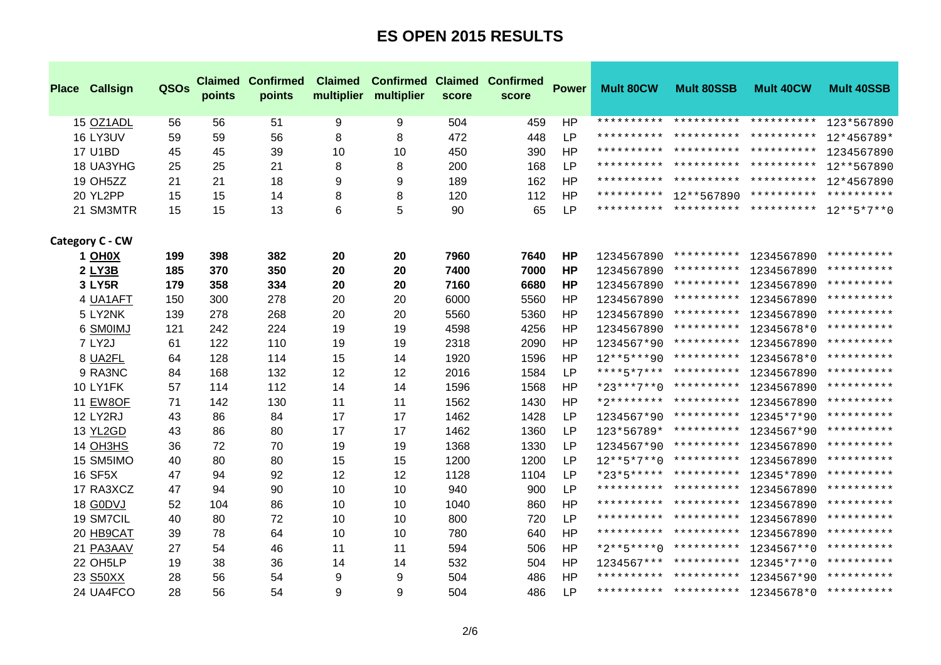| <b>Place Callsign</b> | QSOs | points | <b>Claimed Confirmed</b><br>points | <b>Claimed</b><br>multiplier | <b>Confirmed Claimed Confirmed</b><br>multiplier | score | score | <b>Power</b> | <b>Mult 80CW</b> | <b>Mult 80SSB</b>                            | <b>Mult 40CW</b> | <b>Mult 40SSB</b> |
|-----------------------|------|--------|------------------------------------|------------------------------|--------------------------------------------------|-------|-------|--------------|------------------|----------------------------------------------|------------------|-------------------|
| 15 OZ1ADL             | 56   | 56     | 51                                 | 9                            | 9                                                | 504   | 459   | <b>HP</b>    |                  | ********** ********** **********             |                  | 123*567890        |
| 16 LY3UV              | 59   | 59     | 56                                 | 8                            | 8                                                | 472   | 448   | <b>LP</b>    |                  | ********** ********** **********             |                  | $12*456789*$      |
| <b>17 U1BD</b>        | 45   | 45     | 39                                 | 10                           | 10                                               | 450   | 390   | <b>HP</b>    |                  | ********** ********** **********             |                  | 1234567890        |
| 18 UA3YHG             | 25   | 25     | 21                                 | 8                            | 8                                                | 200   | 168   | <b>LP</b>    |                  | ********** ********** **********             |                  | 12**567890        |
| 19 OH5ZZ              | 21   | 21     | 18                                 | 9                            | 9                                                | 189   | 162   | <b>HP</b>    |                  | ********** ********** **********             |                  | 12*4567890        |
| 20 YL2PP              | 15   | 15     | 14                                 | 8                            | 8                                                | 120   | 112   | <b>HP</b>    |                  | ********** 12**567890 ********** **********  |                  |                   |
| 21 SM3MTR             | 15   | 15     | 13                                 | $\,6$                        | 5                                                | 90    | 65    | <b>LP</b>    |                  | ********** ********** ********** 12**5*7**() |                  |                   |
| Category C - CW       |      |        |                                    |                              |                                                  |       |       |              |                  |                                              |                  |                   |
| 1 OH <sub>0</sub> X   | 199  | 398    | 382                                | 20                           | 20                                               | 7960  | 7640  | HP           |                  | 1234567890 ********** 1234567890 **********  |                  |                   |
| 2 LY3B                | 185  | 370    | 350                                | 20                           | 20                                               | 7400  | 7000  | <b>HP</b>    |                  | 1234567890 **********                        | 1234567890       | **********        |
| 3 LY5R                | 179  | 358    | 334                                | 20                           | 20                                               | 7160  | 6680  | <b>HP</b>    |                  | 1234567890 **********                        | 1234567890       | **********        |
| 4 UA1AFT              | 150  | 300    | 278                                | 20                           | 20                                               | 6000  | 5560  | HP           |                  | 1234567890 **********                        | 1234567890       | **********        |
| 5 LY2NK               | 139  | 278    | 268                                | 20                           | 20                                               | 5560  | 5360  | <b>HP</b>    | 1234567890       | **********                                   | 1234567890       | **********        |
| 6 SMOIMJ              | 121  | 242    | 224                                | 19                           | 19                                               | 4598  | 4256  | <b>HP</b>    | 1234567890       | **********                                   | 12345678*0       | **********        |
| 7 LY2J                | 61   | 122    | 110                                | 19                           | 19                                               | 2318  | 2090  | <b>HP</b>    |                  | $1234567*90$ **********                      | 1234567890       | **********        |
| 8 UA2FL               | 64   | 128    | 114                                | 15                           | 14                                               | 1920  | 1596  | <b>HP</b>    |                  | $12***5***90*************$                   | 12345678*0       | **********        |
| 9 RA3NC               | 84   | 168    | 132                                | 12                           | 12                                               | 2016  | 1584  | <b>LP</b>    |                  | ****5*7*** **********                        | 1234567890       | **********        |
| 10 LY1FK              | 57   | 114    | 112                                | 14                           | 14                                               | 1596  | 1568  | <b>HP</b>    |                  | $*23***7**0$ **********                      | 1234567890       | **********        |
| <b>11 EW8OF</b>       | 71   | 142    | 130                                | 11                           | 11                                               | 1562  | 1430  | <b>HP</b>    |                  | *2******** **********                        | 1234567890       | **********        |
| <b>12 LY2RJ</b>       | 43   | 86     | 84                                 | 17                           | 17                                               | 1462  | 1428  | <b>LP</b>    |                  | 1234567*90 ********** 12345*7*90             |                  | **********        |
| 13 YL2GD              | 43   | 86     | 80                                 | 17                           | 17                                               | 1462  | 1360  | <b>LP</b>    |                  | 123*56789* ********** 1234567*90             |                  | **********        |
| 14 OH3HS              | 36   | 72     | 70                                 | 19                           | 19                                               | 1368  | 1330  | <b>LP</b>    |                  | 1234567*90 **********                        | 1234567890       | **********        |
| 15 SM5IMO             | 40   | 80     | 80                                 | 15                           | 15                                               | 1200  | 1200  | <b>LP</b>    |                  | $12***5*7**0$ **********                     | 1234567890       | **********        |
| <b>16 SF5X</b>        | 47   | 94     | 92                                 | 12                           | 12                                               | 1128  | 1104  | <b>LP</b>    |                  | $*23*5***********************$               | 12345*7890       | **********        |
| 17 RA3XCZ             | 47   | 94     | 90                                 | 10                           | 10                                               | 940   | 900   | <b>LP</b>    |                  | ********** **********                        | 1234567890       | **********        |
| 18 G0DVJ              | 52   | 104    | 86                                 | 10                           | 10                                               | 1040  | 860   | <b>HP</b>    |                  | ********** **********                        | 1234567890       | **********        |
| 19 SM7CIL             | 40   | 80     | 72                                 | 10                           | 10                                               | 800   | 720   | <b>LP</b>    |                  | ********** **********                        | 1234567890       | **********        |
| 20 HB9CAT             | 39   | 78     | 64                                 | 10                           | 10                                               | 780   | 640   | <b>HP</b>    |                  | ********** **********                        | 1234567890       | **********        |
| 21 PA3AAV             | 27   | 54     | 46                                 | 11                           | 11                                               | 594   | 506   | <b>HP</b>    |                  | $*2***5***0$ **********                      | 1234567**0       | **********        |
| 22 OH5LP              | 19   | 38     | 36                                 | 14                           | 14                                               | 532   | 504   | <b>HP</b>    |                  | $1234567****************$                    | 12345*7**0       | **********        |
| 23 S50XX              | 28   | 56     | 54                                 | 9                            | 9                                                | 504   | 486   | <b>HP</b>    |                  | ********** **********                        | 1234567*90       | **********        |
| 24 UA4FCO             | 28   | 56     | 54                                 | 9                            | 9                                                | 504   | 486   | <b>LP</b>    |                  | ********** ********** 12345678*0 **********  |                  |                   |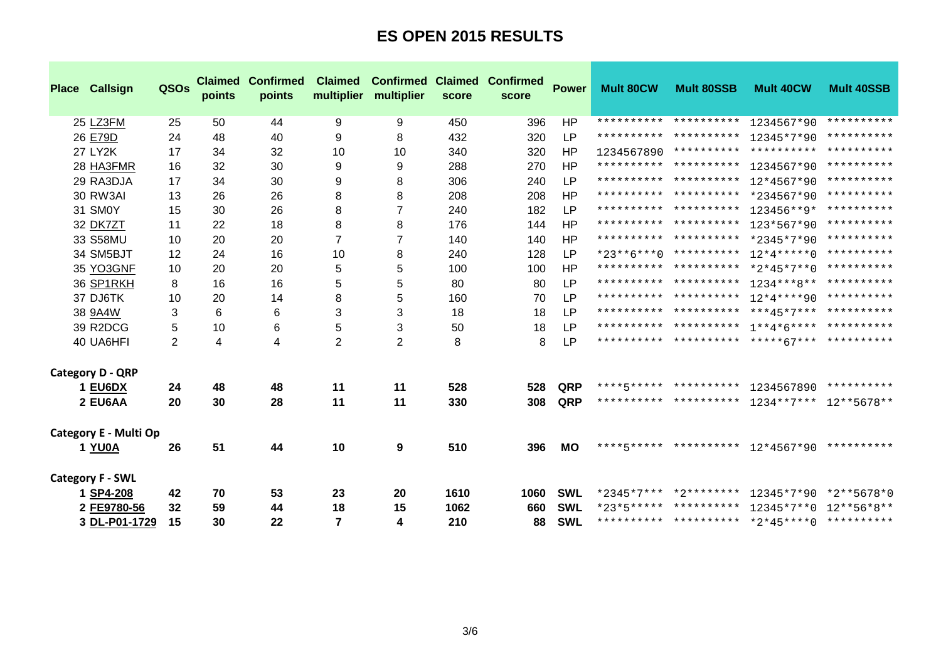| <b>Place Callsign</b>   | QSOs           | <b>Claimed</b><br>points | <b>Confirmed</b><br>points | <b>Claimed</b><br>multiplier | <b>Confirmed</b><br>multiplier | <b>Claimed</b><br>score | <b>Confirmed</b><br>score | <b>Power</b> | <b>Mult 80CW</b> | <b>Mult 80SSB</b>          | <b>Mult 40CW</b>                            | <b>Mult 40SSB</b> |
|-------------------------|----------------|--------------------------|----------------------------|------------------------------|--------------------------------|-------------------------|---------------------------|--------------|------------------|----------------------------|---------------------------------------------|-------------------|
| 25 LZ3FM                | 25             | 50                       | 44                         | 9                            | 9                              | 450                     | 396                       | HP           |                  | ********** **********      | 1234567*90                                  | **********        |
| 26 E79D                 | 24             | 48                       | 40                         | 9                            | 8                              | 432                     | 320                       | LP           |                  |                            | ********** ********** 12345*7*90            | **********        |
| <b>27 LY2K</b>          | 17             | 34                       | 32                         | 10                           | 10                             | 340                     | 320                       | <b>HP</b>    |                  |                            | 1234567890 ********** ********** ********** |                   |
| 28 HA3FMR               | 16             | 32                       | 30                         | 9                            | 9                              | 288                     | 270                       | <b>HP</b>    |                  | ********** **********      | 1234567*90                                  | **********        |
| 29 RA3DJA               | 17             | 34                       | 30                         | 9                            | 8                              | 306                     | 240                       | <b>LP</b>    |                  |                            | ********** ********** 12*4567*90            | **********        |
| 30 RW3AI                | 13             | 26                       | 26                         | 8                            | 8                              | 208                     | 208                       | <b>HP</b>    |                  |                            | ********** ********** *234567*90 ********** |                   |
| 31 SMOY                 | 15             | 30                       | 26                         | 8                            | $\overline{7}$                 | 240                     | 182                       | <b>LP</b>    |                  |                            | ********** ********** 123456**9* ********** |                   |
| 32 DK7ZT                | 11             | 22                       | 18                         | 8                            | 8                              | 176                     | 144                       | <b>HP</b>    |                  |                            | ********** ********** 123*567*90 ********** |                   |
| 33 S58MU                | 10             | 20                       | 20                         | $\overline{7}$               | $\overline{7}$                 | 140                     | 140                       | HP           |                  |                            | ********** ********** *2345*7*90 ********** |                   |
| 34 SM5BJT               | 12             | 24                       | 16                         | 10                           | 8                              | 240                     | 128                       | <b>LP</b>    |                  |                            | *23**6***0 ********** 12*4*****0 ********** |                   |
| 35 YO3GNF               | 10             | 20                       | 20                         | 5                            | 5                              | 100                     | 100                       | HP           |                  |                            | ********** ********** *2*45*7**0 ********** |                   |
| 36 SP1RKH               | 8              | 16                       | 16                         | 5                            | 5                              | 80                      | 80                        | <b>LP</b>    |                  |                            | ********** ********** 1234***8** ********** |                   |
| 37 DJ6TK                | 10             | 20                       | 14                         | 8                            | 5                              | 160                     | 70                        | <b>LP</b>    |                  |                            | ********** ********** 12*4****90 ********** |                   |
| 38 9A4W                 | 3              | 6                        | 6                          | 3                            | 3                              | 18                      | 18                        | <b>LP</b>    |                  |                            |                                             |                   |
| 39 R2DCG                | 5              | 10                       | 6                          | 5                            | 3                              | 50                      | 18                        | LP           |                  |                            |                                             |                   |
| 40 UA6HFI               | $\overline{2}$ | 4                        | 4                          | 2                            | $\overline{2}$                 | 8                       | 8                         | LP           |                  |                            |                                             |                   |
| <b>Category D - QRP</b> |                |                          |                            |                              |                                |                         |                           |              |                  |                            |                                             |                   |
| 1 EU6DX                 | 24             | 48                       | 48                         | 11                           | 11                             | 528                     | 528                       | QRP          |                  | ****5***** **********      | 1234567890                                  | **********        |
| 2 EU6AA                 | 20             | 30                       | 28                         | 11                           | 11                             | 330                     | 308                       | QRP          |                  |                            | ********** ********** 1234**7*** 12**5678** |                   |
| Category E - Multi Op   |                |                          |                            |                              |                                |                         |                           |              |                  |                            |                                             |                   |
| 1 YU0A                  | 26             | 51                       | 44                         | 10                           | 9                              | 510                     | 396                       | MО           |                  |                            | ****5***** ********** 12*4567*90 ********** |                   |
| <b>Category F - SWL</b> |                |                          |                            |                              |                                |                         |                           |              |                  |                            |                                             |                   |
| 1 SP4-208               | 42             | 70                       | 53                         | 23                           | 20                             | 1610                    | 1060                      | <b>SWL</b>   |                  | $*2345*7***$ $*2*******$   | 12345*7*90                                  | *2**5678*0        |
| 2 FE9780-56             | 32             | 59                       | 44                         | 18                           | 15                             | 1062                    | 660                       | <b>SWL</b>   |                  | $*23*5*******************$ | $12345*7**0$ $12**56*8**$                   |                   |
| 3 DL-P01-1729           | 15             | 30                       | 22                         | $\overline{7}$               | 4                              | 210                     | 88                        | <b>SWL</b>   |                  |                            | ********** ********** *2*45****0 ********** |                   |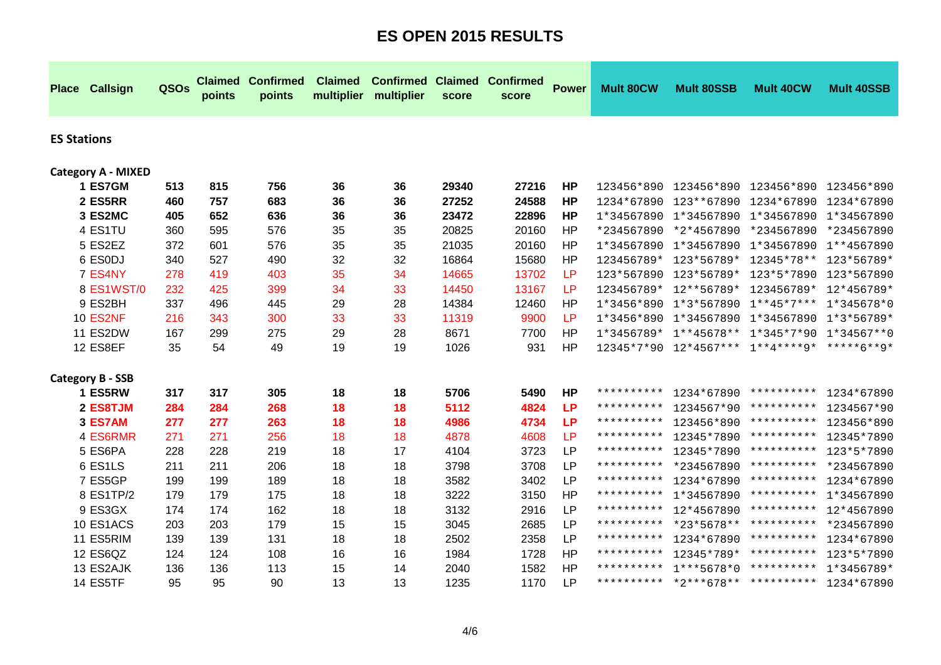| <b>Place</b>       | <b>Callsign</b>           | QSOs | <b>Claimed</b><br>points | <b>Confirmed</b><br>points | <b>Claimed</b><br>multiplier | <b>Confirmed Claimed</b><br>multiplier | score | <b>Confirmed</b><br>score | <b>Power</b> | <b>Mult 80CW</b>    | <b>Mult 80SSB</b>                  | <b>Mult 40CW</b>      | <b>Mult 40SSB</b> |
|--------------------|---------------------------|------|--------------------------|----------------------------|------------------------------|----------------------------------------|-------|---------------------------|--------------|---------------------|------------------------------------|-----------------------|-------------------|
| <b>ES Stations</b> |                           |      |                          |                            |                              |                                        |       |                           |              |                     |                                    |                       |                   |
|                    | <b>Category A - MIXED</b> |      |                          |                            |                              |                                        |       |                           |              |                     |                                    |                       |                   |
|                    | 1 ES7GM                   | 513  | 815                      | 756                        | 36                           | 36                                     | 29340 | 27216                     | <b>HP</b>    |                     | 123456*890 123456*890              | 123456*890            | 123456*890        |
|                    | 2 ES5RR                   | 460  | 757                      | 683                        | 36                           | 36                                     | 27252 | 24588                     | <b>HP</b>    |                     | 1234*67890 123**67890              | 1234*67890            | 1234*67890        |
|                    | 3 ES2MC                   | 405  | 652                      | 636                        | 36                           | 36                                     | 23472 | 22896                     | <b>HP</b>    |                     | 1*34567890 1*34567890              | 1*34567890 1*34567890 |                   |
|                    | 4 ES1TU                   | 360  | 595                      | 576                        | 35                           | 35                                     | 20825 | 20160                     | <b>HP</b>    | *234567890          | *2*4567890                         | *234567890            | *234567890        |
|                    | 5 ES2EZ                   | 372  | 601                      | 576                        | 35                           | 35                                     | 21035 | 20160                     | <b>HP</b>    |                     | 1*34567890 1*34567890              | 1*34567890            | 1**4567890        |
|                    | 6 ESODJ                   | 340  | 527                      | 490                        | 32                           | 32                                     | 16864 | 15680                     | <b>HP</b>    | 123456789*          | 123*56789*                         | 12345*78**            | 123*56789*        |
|                    | 7 ES4NY                   | 278  | 419                      | 403                        | 35                           | 34                                     | 14665 | 13702                     | LP           |                     | 123*567890 123*56789*              | 123*5*7890            | 123*567890        |
|                    | 8 ES1WST/0                | 232  | 425                      | 399                        | 34                           | 33                                     | 14450 | 13167                     | <b>LP</b>    | 123456789*          | 12**56789*                         | 123456789*            | 12*456789*        |
|                    | 9 ES2BH                   | 337  | 496                      | 445                        | 29                           | 28                                     | 14384 | 12460                     | <b>HP</b>    | $1*3456*890$        | 1*3*567890                         | $1***45*7***$         | 1*345678*0        |
|                    | <b>10 ES2NF</b>           | 216  | 343                      | 300                        | 33                           | 33                                     | 11319 | 9900                      | LP           |                     | 1*3456*890 1*34567890              | 1*34567890            | $1*3*56789*$      |
|                    | 11 ES2DW                  | 167  | 299                      | 275                        | 29                           | 28                                     | 8671  | 7700                      | <b>HP</b>    |                     | $1*3456789* 1**45678** 1*345*7*90$ |                       | $1*34567**0$      |
|                    | 12 ES8EF                  | 35   | 54                       | 49                         | 19                           | 19                                     | 1026  | 931                       | <b>HP</b>    |                     | 12345*7*90  12*4567***  1**4****9* |                       | *****6**9*        |
|                    | <b>Category B - SSB</b>   |      |                          |                            |                              |                                        |       |                           |              |                     |                                    |                       |                   |
|                    | 1 ES5RW                   | 317  | 317                      | 305                        | 18                           | 18                                     | 5706  | 5490                      | <b>HP</b>    | **********          | 1234*67890                         | **********            | 1234*67890        |
|                    | 2 ES8TJM                  | 284  | 284                      | 268                        | 18                           | 18                                     | 5112  | 4824                      | <b>LP</b>    | **********          | 1234567*90                         | * * * * * * * * * *   | 1234567*90        |
|                    | 3 ES7AM                   | 277  | 277                      | 263                        | 18                           | 18                                     | 4986  | 4734                      | <b>LP</b>    | **********          | 123456*890                         | **********            | 123456*890        |
|                    | 4 ES6RMR                  | 271  | 271                      | 256                        | 18                           | 18                                     | 4878  | 4608                      | <b>LP</b>    | **********          | 12345*7890                         | **********            | 12345*7890        |
|                    | 5 ES6PA                   | 228  | 228                      | 219                        | 18                           | 17                                     | 4104  | 3723                      | <b>LP</b>    | **********          | 12345*7890                         | **********            | 123*5*7890        |
|                    | 6 ES1LS                   | 211  | 211                      | 206                        | 18                           | 18                                     | 3798  | 3708                      | <b>LP</b>    | **********          | *234567890                         | **********            | *234567890        |
|                    | 7 ES5GP                   | 199  | 199                      | 189                        | 18                           | 18                                     | 3582  | 3402                      | <b>LP</b>    | **********          | 1234*67890                         | **********            | 1234*67890        |
|                    | 8 ES1TP/2                 | 179  | 179                      | 175                        | 18                           | 18                                     | 3222  | 3150                      | HP           | **********          | 1*34567890                         | **********            | 1*34567890        |
|                    | 9 ES3GX                   | 174  | 174                      | 162                        | 18                           | 18                                     | 3132  | 2916                      | <b>LP</b>    | **********          | 12*4567890                         | **********            | 12*4567890        |
|                    | 10 ES1ACS                 | 203  | 203                      | 179                        | 15                           | 15                                     | 3045  | 2685                      | <b>LP</b>    | * * * * * * * * * * | *23*5678**                         | **********            | *234567890        |
|                    | 11 ES5RIM                 | 139  | 139                      | 131                        | 18                           | 18                                     | 2502  | 2358                      | <b>LP</b>    | **********          | 1234*67890                         | * * * * * * * * * *   | 1234*67890        |
|                    | 12 ES6QZ                  | 124  | 124                      | 108                        | 16                           | 16                                     | 1984  | 1728                      | HP           | **********          | 12345*789*                         | **********            | 123*5*7890        |
|                    | 13 ES2AJK                 | 136  | 136                      | 113                        | 15                           | 14                                     | 2040  | 1582                      | HP           | **********          | $1***5678*0$                       | **********            | $1*3456789*$      |
|                    | 14 ES5TF                  | 95   | 95                       | 90                         | 13                           | 13                                     | 1235  | 1170                      | <b>LP</b>    |                     | ********** *2***678** **********   |                       | 1234*67890        |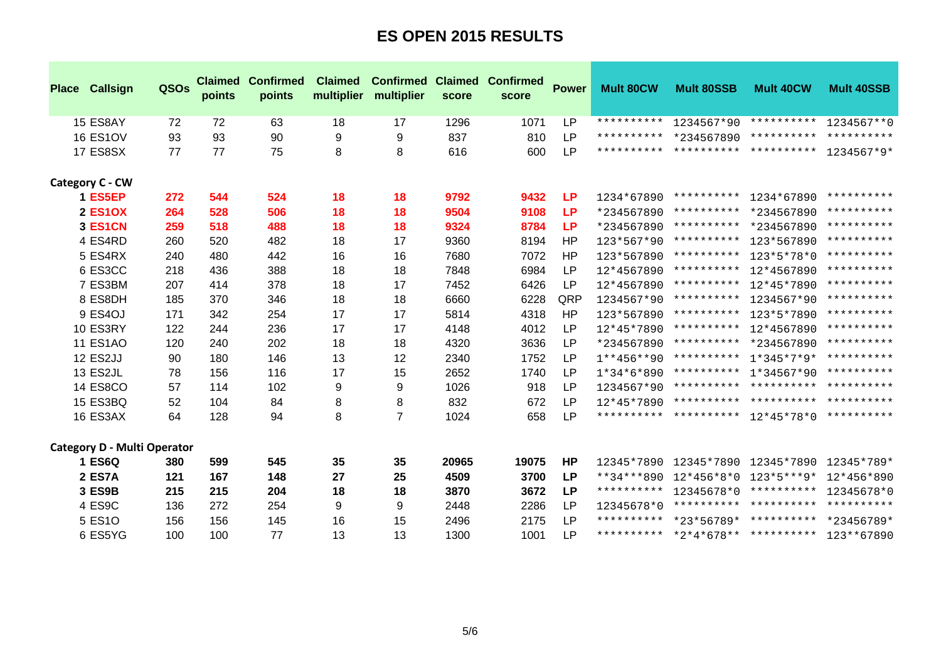| Place Callsign                     | <b>QSOs</b> | <b>Claimed</b><br>points | <b>Confirmed</b><br>points | <b>Claimed</b><br>multiplier | <b>Confirmed</b><br>multiplier | <b>Claimed</b><br>score | <b>Confirmed</b><br>score | <b>Power</b> | <b>Mult 80CW</b>    | <b>Mult 80SSB</b>                              | <b>Mult 40CW</b>                 | <b>Mult 40SSB</b> |
|------------------------------------|-------------|--------------------------|----------------------------|------------------------------|--------------------------------|-------------------------|---------------------------|--------------|---------------------|------------------------------------------------|----------------------------------|-------------------|
| 15 ES8AY                           | 72          | 72                       | 63                         | 18                           | 17                             | 1296                    | 1071                      | <b>LP</b>    | **********          | 1234567*90                                     | **********                       | $1234567**0$      |
| <b>16 ES1OV</b>                    | 93          | 93                       | 90                         | 9                            | 9                              | 837                     | 810                       | <b>LP</b>    | **********          | *234567890                                     | * * * * * * * * * *              | **********        |
| <b>17 ES8SX</b>                    | 77          | 77                       | 75                         | 8                            | 8                              | 616                     | 600                       | <b>LP</b>    |                     | ********** ********** ********** 1234567*9*    |                                  |                   |
| Category C - CW                    |             |                          |                            |                              |                                |                         |                           |              |                     |                                                |                                  |                   |
| 1 ES5EP                            | 272         | 544                      | 524                        | 18                           | 18                             | 9792                    | 9432                      | <b>LP</b>    | 1234*67890          | **********                                     | 1234*67890                       | **********        |
| <b>2 ES1OX</b>                     | 264         | 528                      | 506                        | 18                           | 18                             | 9504                    | 9108                      | <b>LP</b>    | *234567890          |                                                | ********** *234567890            | **********        |
| 3 ES1CN                            | 259         | 518                      | 488                        | 18                           | 18                             | 9324                    | 8784                      | <b>LP</b>    | *234567890          |                                                | ********** *234567890            | **********        |
| 4 ES4RD                            | 260         | 520                      | 482                        | 18                           | 17                             | 9360                    | 8194                      | <b>HP</b>    | $123*567*90$        | **********                                     | 123*567890                       | **********        |
| 5 ES4RX                            | 240         | 480                      | 442                        | 16                           | 16                             | 7680                    | 7072                      | HP           | 123*567890          | **********                                     | 123*5*78*0                       | **********        |
| 6 ES3CC                            | 218         | 436                      | 388                        | 18                           | 18                             | 7848                    | 6984                      | <b>LP</b>    | 12*4567890          | **********                                     | 12*4567890                       | **********        |
| 7 ES3BM                            | 207         | 414                      | 378                        | 18                           | 17                             | 7452                    | 6426                      | <b>LP</b>    | 12*4567890          | **********                                     | 12*45*7890                       | **********        |
| 8 ES8DH                            | 185         | 370                      | 346                        | 18                           | 18                             | 6660                    | 6228                      | QRP          | 1234567*90          | **********                                     | 1234567*90                       | **********        |
| 9 ES4OJ                            | 171         | 342                      | 254                        | 17                           | 17                             | 5814                    | 4318                      | HP           | 123*567890          | **********                                     | 123*5*7890                       | **********        |
| <b>10 ES3RY</b>                    | 122         | 244                      | 236                        | 17                           | 17                             | 4148                    | 4012                      | <b>LP</b>    | 12*45*7890          | **********                                     | 12*4567890                       | **********        |
| <b>11 ES1AO</b>                    | 120         | 240                      | 202                        | 18                           | 18                             | 4320                    | 3636                      | <b>LP</b>    | *234567890          |                                                | ********** *234567890            | **********        |
| 12 ES2JJ                           | 90          | 180                      | 146                        | 13                           | 12                             | 2340                    | 1752                      | <b>LP</b>    | $1***456***90$      | **********                                     | 1*345*7*9*                       | **********        |
| 13 ES2JL                           | 78          | 156                      | 116                        | 17                           | 15                             | 2652                    | 1740                      | <b>LP</b>    | $1*34*6*890$        |                                                | ********** 1*34567*90 ********** |                   |
| <b>14 ES8CO</b>                    | 57          | 114                      | 102                        | 9                            | 9                              | 1026                    | 918                       | <b>LP</b>    | 1234567*90          |                                                | ********** ********** ********** |                   |
| <b>15 ES3BQ</b>                    | 52          | 104                      | 84                         | 8                            | 8                              | 832                     | 672                       | <b>LP</b>    |                     | $12*45*7890$ ********** ********** *********** |                                  |                   |
| 16 ES3AX                           | 64          | 128                      | 94                         | 8                            | $\overline{7}$                 | 1024                    | 658                       | <b>LP</b>    |                     | ********** ********** 12*45*78*0 **********    |                                  |                   |
| <b>Category D - Multi Operator</b> |             |                          |                            |                              |                                |                         |                           |              |                     |                                                |                                  |                   |
| <b>1 ES6Q</b>                      | 380         | 599                      | 545                        | 35                           | 35                             | 20965                   | 19075                     | <b>HP</b>    | 12345*7890          |                                                | 12345*7890 12345*7890 12345*789* |                   |
| <b>2 ES7A</b>                      | 121         | 167                      | 148                        | 27                           | 25                             | 4509                    | 3700                      | <b>LP</b>    | **34***890          | 12*456*8*0                                     | 123*5***9*                       | 12*456*890        |
| 3 ES9B                             | 215         | 215                      | 204                        | 18                           | 18                             | 3870                    | 3672                      | <b>LP</b>    | * * * * * * * * * * | 12345678*0                                     | ********** 12345678*0            |                   |
| 4 ES9C                             | 136         | 272                      | 254                        | 9                            | 9                              | 2448                    | 2286                      | <b>LP</b>    | 12345678*0          |                                                | ********** ********** ********** |                   |
| 5 ES10                             | 156         | 156                      | 145                        | 16                           | 15                             | 2496                    | 2175                      | <b>LP</b>    |                     | ********** *23*56789* ********** *23456789*    |                                  |                   |
| 6 ES5YG                            | 100         | 100                      | 77                         | 13                           | 13                             | 1300                    | 1001                      | <b>LP</b>    |                     | ********** *2*4*678** ********** 123**67890    |                                  |                   |